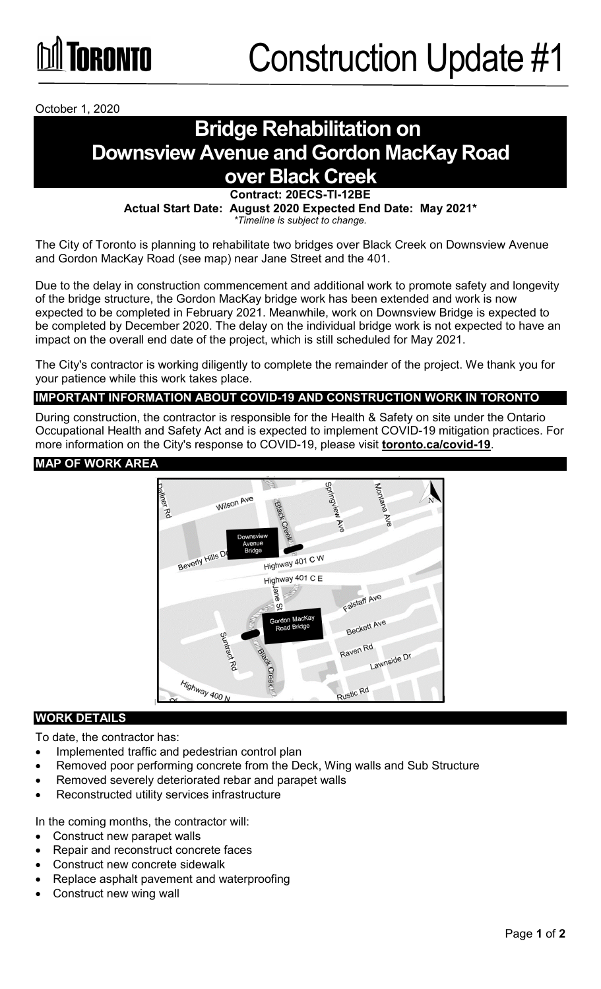

October 1, 2020

## **Bridge Rehabilitation on Downsview Avenue and Gordon MacKay Road over Black Creek**

**Contract: 20ECS-TI-12BE**

**Actual Start Date: August 2020 Expected End Date: May 2021\***

*\*Timeline is subject to change.*

The City of Toronto is planning to rehabilitate two bridges over Black Creek on Downsview Avenue and Gordon MacKay Road (see map) near Jane Street and the 401.

Due to the delay in construction commencement and additional work to promote safety and longevity of the bridge structure, the Gordon MacKay bridge work has been extended and work is now expected to be completed in February 2021. Meanwhile, work on Downsview Bridge is expected to be completed by December 2020. The delay on the individual bridge work is not expected to have an impact on the overall end date of the project, which is still scheduled for May 2021.

The City's contractor is working diligently to complete the remainder of the project. We thank you for your patience while this work takes place.

### **IMPORTANT INFORMATION ABOUT COVID-19 AND CONSTRUCTION WORK IN TORONTO**

During construction, the contractor is responsible for the Health & Safety on site under the Ontario Occupational Health and Safety Act and is expected to implement COVID-19 mitigation practices. For more information on the City's response to COVID-19, please visit **[toronto.ca/covid-19](http://www.toronto.ca/covid-19)**.

#### **MAP OF WORK AREA**



#### **WORK DETAILS**

To date, the contractor has:

- Implemented traffic and pedestrian control plan
- Removed poor performing concrete from the Deck, Wing walls and Sub Structure
- Removed severely deteriorated rebar and parapet walls
- Reconstructed utility services infrastructure

In the coming months, the contractor will:

- Construct new parapet walls
- Repair and reconstruct concrete faces
- Construct new concrete sidewalk
- Replace asphalt pavement and waterproofing
- Construct new wing wall